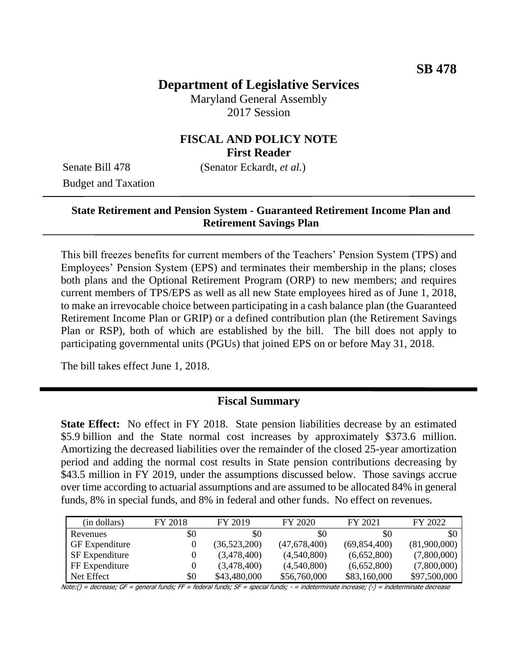# **Department of Legislative Services**

Maryland General Assembly 2017 Session

# **FISCAL AND POLICY NOTE First Reader**

Budget and Taxation

Senate Bill 478 (Senator Eckardt, *et al.*)

### **State Retirement and Pension System - Guaranteed Retirement Income Plan and Retirement Savings Plan**

This bill freezes benefits for current members of the Teachers' Pension System (TPS) and Employees' Pension System (EPS) and terminates their membership in the plans; closes both plans and the Optional Retirement Program (ORP) to new members; and requires current members of TPS/EPS as well as all new State employees hired as of June 1, 2018, to make an irrevocable choice between participating in a cash balance plan (the Guaranteed Retirement Income Plan or GRIP) or a defined contribution plan (the Retirement Savings Plan or RSP), both of which are established by the bill. The bill does not apply to participating governmental units (PGUs) that joined EPS on or before May 31, 2018.

The bill takes effect June 1, 2018.

#### **Fiscal Summary**

**State Effect:** No effect in FY 2018. State pension liabilities decrease by an estimated \$5.9 billion and the State normal cost increases by approximately \$373.6 million. Amortizing the decreased liabilities over the remainder of the closed 25-year amortization period and adding the normal cost results in State pension contributions decreasing by \$43.5 million in FY 2019, under the assumptions discussed below. Those savings accrue over time according to actuarial assumptions and are assumed to be allocated 84% in general funds, 8% in special funds, and 8% in federal and other funds. No effect on revenues.

| (in dollars)          | FY 2018 | FY 2019      | FY 2020      | FY 2021        | FY 2022      |
|-----------------------|---------|--------------|--------------|----------------|--------------|
| Revenues              | \$0     | \$0          | \$0          | <b>SO</b>      | \$0          |
| <b>GF</b> Expenditure | 0       | (36,523,200) | (47,678,400) | (69, 854, 400) | (81,900,000) |
| <b>SF</b> Expenditure | 0       | (3,478,400)  | (4,540,800)  | (6,652,800)    | (7,800,000)  |
| FF Expenditure        | 0       | (3,478,400)  | (4,540,800)  | (6,652,800)    | (7,800,000)  |
| Net Effect            | \$0     | \$43,480,000 | \$56,760,000 | \$83,160,000   | \$97,500,000 |

Note:() = decrease; GF = general funds; FF = federal funds; SF = special funds; - = indeterminate increase; (-) = indeterminate decrease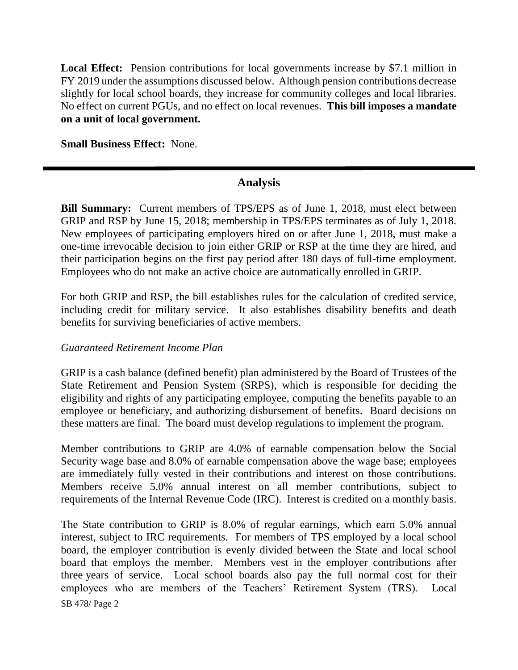Local Effect: Pension contributions for local governments increase by \$7.1 million in FY 2019 under the assumptions discussed below. Although pension contributions decrease slightly for local school boards, they increase for community colleges and local libraries. No effect on current PGUs, and no effect on local revenues. **This bill imposes a mandate on a unit of local government.**

**Small Business Effect:** None.

### **Analysis**

**Bill Summary:** Current members of TPS/EPS as of June 1, 2018, must elect between GRIP and RSP by June 15, 2018; membership in TPS/EPS terminates as of July 1, 2018. New employees of participating employers hired on or after June 1, 2018, must make a one-time irrevocable decision to join either GRIP or RSP at the time they are hired, and their participation begins on the first pay period after 180 days of full-time employment. Employees who do not make an active choice are automatically enrolled in GRIP.

For both GRIP and RSP, the bill establishes rules for the calculation of credited service, including credit for military service. It also establishes disability benefits and death benefits for surviving beneficiaries of active members.

#### *Guaranteed Retirement Income Plan*

GRIP is a cash balance (defined benefit) plan administered by the Board of Trustees of the State Retirement and Pension System (SRPS), which is responsible for deciding the eligibility and rights of any participating employee, computing the benefits payable to an employee or beneficiary, and authorizing disbursement of benefits. Board decisions on these matters are final. The board must develop regulations to implement the program.

Member contributions to GRIP are 4.0% of earnable compensation below the Social Security wage base and 8.0% of earnable compensation above the wage base; employees are immediately fully vested in their contributions and interest on those contributions. Members receive 5.0% annual interest on all member contributions, subject to requirements of the Internal Revenue Code (IRC). Interest is credited on a monthly basis.

SB 478/ Page 2 The State contribution to GRIP is 8.0% of regular earnings, which earn 5.0% annual interest, subject to IRC requirements. For members of TPS employed by a local school board, the employer contribution is evenly divided between the State and local school board that employs the member. Members vest in the employer contributions after three years of service. Local school boards also pay the full normal cost for their employees who are members of the Teachers' Retirement System (TRS). Local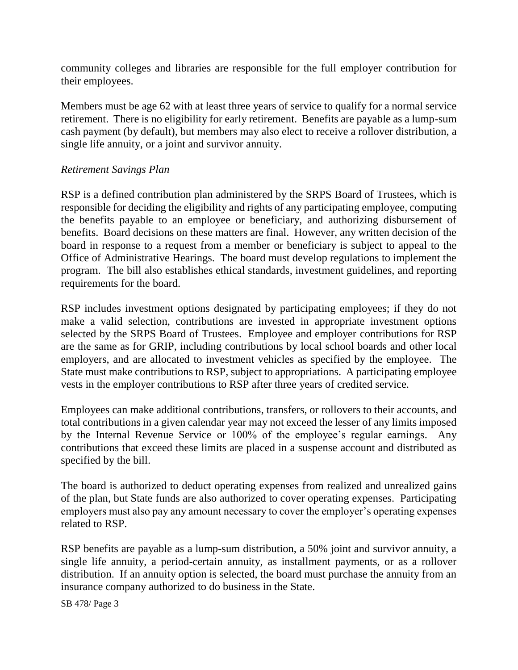community colleges and libraries are responsible for the full employer contribution for their employees.

Members must be age 62 with at least three years of service to qualify for a normal service retirement. There is no eligibility for early retirement. Benefits are payable as a lump-sum cash payment (by default), but members may also elect to receive a rollover distribution, a single life annuity, or a joint and survivor annuity.

### *Retirement Savings Plan*

RSP is a defined contribution plan administered by the SRPS Board of Trustees, which is responsible for deciding the eligibility and rights of any participating employee, computing the benefits payable to an employee or beneficiary, and authorizing disbursement of benefits. Board decisions on these matters are final. However, any written decision of the board in response to a request from a member or beneficiary is subject to appeal to the Office of Administrative Hearings. The board must develop regulations to implement the program. The bill also establishes ethical standards, investment guidelines, and reporting requirements for the board.

RSP includes investment options designated by participating employees; if they do not make a valid selection, contributions are invested in appropriate investment options selected by the SRPS Board of Trustees. Employee and employer contributions for RSP are the same as for GRIP, including contributions by local school boards and other local employers, and are allocated to investment vehicles as specified by the employee. The State must make contributions to RSP, subject to appropriations. A participating employee vests in the employer contributions to RSP after three years of credited service.

Employees can make additional contributions, transfers, or rollovers to their accounts, and total contributions in a given calendar year may not exceed the lesser of any limits imposed by the Internal Revenue Service or 100% of the employee's regular earnings. Any contributions that exceed these limits are placed in a suspense account and distributed as specified by the bill.

The board is authorized to deduct operating expenses from realized and unrealized gains of the plan, but State funds are also authorized to cover operating expenses. Participating employers must also pay any amount necessary to cover the employer's operating expenses related to RSP.

RSP benefits are payable as a lump-sum distribution, a 50% joint and survivor annuity, a single life annuity, a period-certain annuity, as installment payments, or as a rollover distribution. If an annuity option is selected, the board must purchase the annuity from an insurance company authorized to do business in the State.

SB 478/ Page 3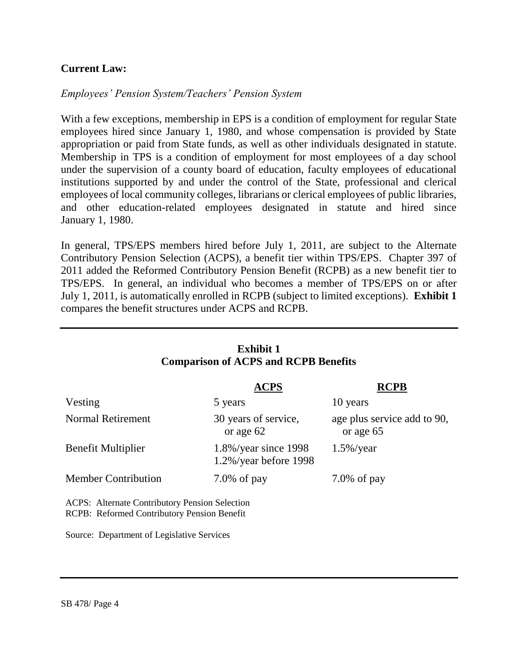## **Current Law:**

#### *Employees' Pension System/Teachers' Pension System*

With a few exceptions, membership in EPS is a condition of employment for regular State employees hired since January 1, 1980, and whose compensation is provided by State appropriation or paid from State funds, as well as other individuals designated in statute. Membership in TPS is a condition of employment for most employees of a day school under the supervision of a county board of education, faculty employees of educational institutions supported by and under the control of the State, professional and clerical employees of local community colleges, librarians or clerical employees of public libraries, and other education-related employees designated in statute and hired since January 1, 1980.

In general, TPS/EPS members hired before July 1, 2011, are subject to the Alternate Contributory Pension Selection (ACPS), a benefit tier within TPS/EPS. Chapter 397 of 2011 added the Reformed Contributory Pension Benefit (RCPB) as a new benefit tier to TPS/EPS. In general, an individual who becomes a member of TPS/EPS on or after July 1, 2011, is automatically enrolled in RCPB (subject to limited exceptions). **Exhibit 1** compares the benefit structures under ACPS and RCPB.

| <b>Exhibit 1</b><br><b>Comparison of ACPS and RCPB Benefits</b>                                      |                                                       |                                          |  |  |  |  |
|------------------------------------------------------------------------------------------------------|-------------------------------------------------------|------------------------------------------|--|--|--|--|
|                                                                                                      | <b>ACPS</b>                                           | <b>RCPB</b>                              |  |  |  |  |
| Vesting                                                                                              | 5 years                                               | 10 years                                 |  |  |  |  |
| <b>Normal Retirement</b>                                                                             | 30 years of service,<br>or age 62                     | age plus service add to 90,<br>or age 65 |  |  |  |  |
| <b>Benefit Multiplier</b>                                                                            | $1.8\%$ /year since 1998<br>$1.2\%$ /year before 1998 | $1.5\%$ /year                            |  |  |  |  |
| <b>Member Contribution</b>                                                                           | $7.0\%$ of pay                                        | $7.0\%$ of pay                           |  |  |  |  |
| <b>ACPS:</b> Alternate Contributory Pension Selection<br>RCPB: Reformed Contributory Pension Benefit |                                                       |                                          |  |  |  |  |
| Source: Department of Legislative Services                                                           |                                                       |                                          |  |  |  |  |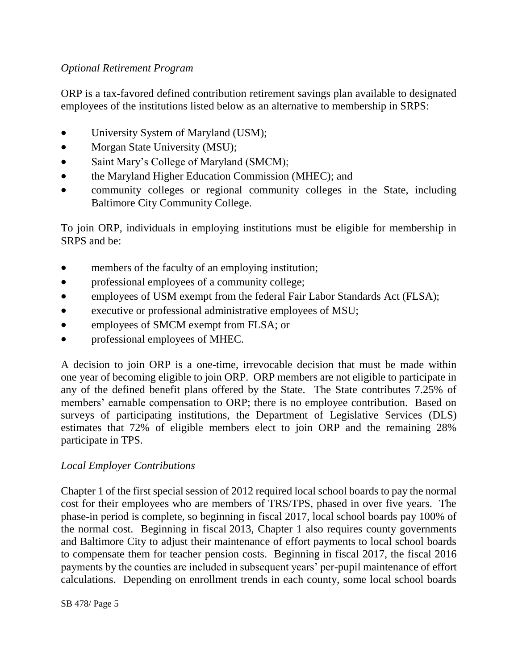## *Optional Retirement Program*

ORP is a tax-favored defined contribution retirement savings plan available to designated employees of the institutions listed below as an alternative to membership in SRPS:

- University System of Maryland (USM);
- Morgan State University (MSU);
- Saint Mary's College of Maryland (SMCM);
- the Maryland Higher Education Commission (MHEC); and
- community colleges or regional community colleges in the State, including Baltimore City Community College.

To join ORP, individuals in employing institutions must be eligible for membership in SRPS and be:

- members of the faculty of an employing institution;
- professional employees of a community college;
- employees of USM exempt from the federal Fair Labor Standards Act (FLSA);
- executive or professional administrative employees of MSU;
- employees of SMCM exempt from FLSA; or
- professional employees of MHEC.

A decision to join ORP is a one-time, irrevocable decision that must be made within one year of becoming eligible to join ORP. ORP members are not eligible to participate in any of the defined benefit plans offered by the State. The State contributes 7.25% of members' earnable compensation to ORP; there is no employee contribution. Based on surveys of participating institutions, the Department of Legislative Services (DLS) estimates that 72% of eligible members elect to join ORP and the remaining 28% participate in TPS.

### *Local Employer Contributions*

Chapter 1 of the first special session of 2012 required local school boards to pay the normal cost for their employees who are members of TRS/TPS, phased in over five years. The phase-in period is complete, so beginning in fiscal 2017, local school boards pay 100% of the normal cost. Beginning in fiscal 2013, Chapter 1 also requires county governments and Baltimore City to adjust their maintenance of effort payments to local school boards to compensate them for teacher pension costs. Beginning in fiscal 2017, the fiscal 2016 payments by the counties are included in subsequent years' per-pupil maintenance of effort calculations. Depending on enrollment trends in each county, some local school boards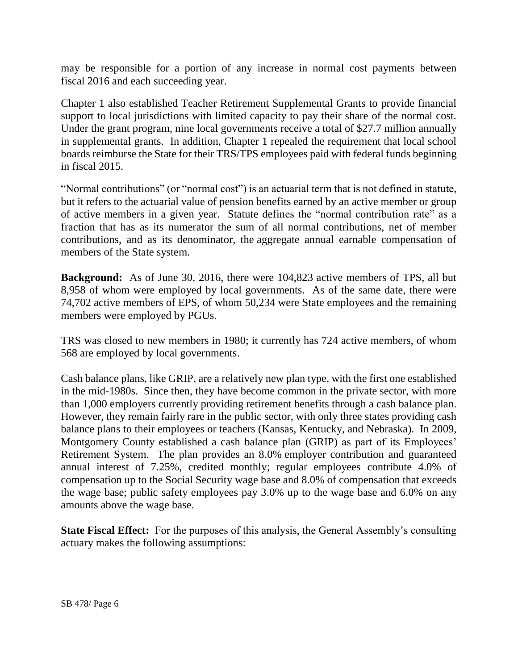may be responsible for a portion of any increase in normal cost payments between fiscal 2016 and each succeeding year.

Chapter 1 also established Teacher Retirement Supplemental Grants to provide financial support to local jurisdictions with limited capacity to pay their share of the normal cost. Under the grant program, nine local governments receive a total of \$27.7 million annually in supplemental grants. In addition, Chapter 1 repealed the requirement that local school boards reimburse the State for their TRS/TPS employees paid with federal funds beginning in fiscal 2015.

"Normal contributions" (or "normal cost") is an actuarial term that is not defined in statute, but it refers to the actuarial value of pension benefits earned by an active member or group of active members in a given year. Statute defines the "normal contribution rate" as a fraction that has as its numerator the sum of all normal contributions, net of member contributions, and as its denominator, the aggregate annual earnable compensation of members of the State system.

**Background:** As of June 30, 2016, there were 104,823 active members of TPS, all but 8,958 of whom were employed by local governments. As of the same date, there were 74,702 active members of EPS, of whom 50,234 were State employees and the remaining members were employed by PGUs.

TRS was closed to new members in 1980; it currently has 724 active members, of whom 568 are employed by local governments.

Cash balance plans, like GRIP, are a relatively new plan type, with the first one established in the mid-1980s. Since then, they have become common in the private sector, with more than 1,000 employers currently providing retirement benefits through a cash balance plan. However, they remain fairly rare in the public sector, with only three states providing cash balance plans to their employees or teachers (Kansas, Kentucky, and Nebraska). In 2009, Montgomery County established a cash balance plan (GRIP) as part of its Employees' Retirement System. The plan provides an 8.0% employer contribution and guaranteed annual interest of 7.25%, credited monthly; regular employees contribute 4.0% of compensation up to the Social Security wage base and 8.0% of compensation that exceeds the wage base; public safety employees pay 3.0% up to the wage base and 6.0% on any amounts above the wage base.

**State Fiscal Effect:** For the purposes of this analysis, the General Assembly's consulting actuary makes the following assumptions: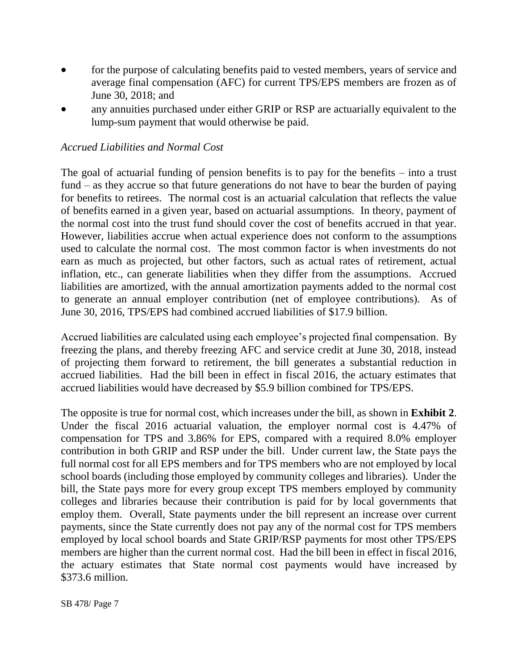- for the purpose of calculating benefits paid to vested members, years of service and average final compensation (AFC) for current TPS/EPS members are frozen as of June 30, 2018; and
- any annuities purchased under either GRIP or RSP are actuarially equivalent to the lump-sum payment that would otherwise be paid.

#### *Accrued Liabilities and Normal Cost*

The goal of actuarial funding of pension benefits is to pay for the benefits – into a trust fund – as they accrue so that future generations do not have to bear the burden of paying for benefits to retirees. The normal cost is an actuarial calculation that reflects the value of benefits earned in a given year, based on actuarial assumptions. In theory, payment of the normal cost into the trust fund should cover the cost of benefits accrued in that year. However, liabilities accrue when actual experience does not conform to the assumptions used to calculate the normal cost. The most common factor is when investments do not earn as much as projected, but other factors, such as actual rates of retirement, actual inflation, etc., can generate liabilities when they differ from the assumptions. Accrued liabilities are amortized, with the annual amortization payments added to the normal cost to generate an annual employer contribution (net of employee contributions). As of June 30, 2016, TPS/EPS had combined accrued liabilities of \$17.9 billion.

Accrued liabilities are calculated using each employee's projected final compensation. By freezing the plans, and thereby freezing AFC and service credit at June 30, 2018, instead of projecting them forward to retirement, the bill generates a substantial reduction in accrued liabilities. Had the bill been in effect in fiscal 2016, the actuary estimates that accrued liabilities would have decreased by \$5.9 billion combined for TPS/EPS.

The opposite is true for normal cost, which increases under the bill, as shown in **Exhibit 2**. Under the fiscal 2016 actuarial valuation, the employer normal cost is 4.47% of compensation for TPS and 3.86% for EPS, compared with a required 8.0% employer contribution in both GRIP and RSP under the bill. Under current law, the State pays the full normal cost for all EPS members and for TPS members who are not employed by local school boards (including those employed by community colleges and libraries). Under the bill, the State pays more for every group except TPS members employed by community colleges and libraries because their contribution is paid for by local governments that employ them. Overall, State payments under the bill represent an increase over current payments, since the State currently does not pay any of the normal cost for TPS members employed by local school boards and State GRIP/RSP payments for most other TPS/EPS members are higher than the current normal cost. Had the bill been in effect in fiscal 2016, the actuary estimates that State normal cost payments would have increased by \$373.6 million.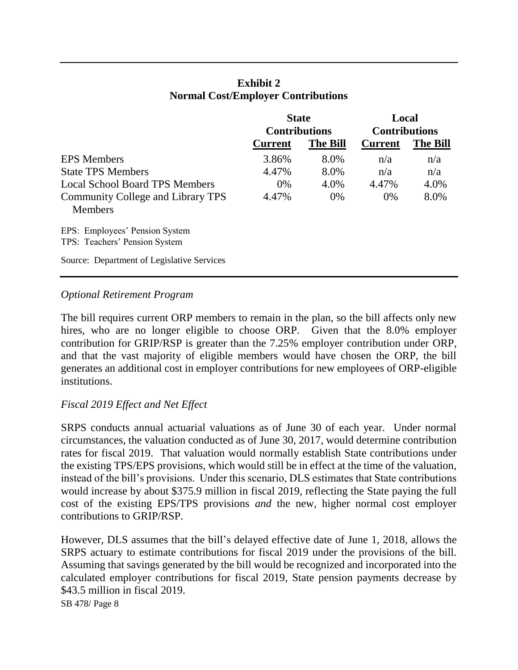|                                                                 | <b>State</b><br><b>Contributions</b> |                 | Local<br><b>Contributions</b> |                 |
|-----------------------------------------------------------------|--------------------------------------|-----------------|-------------------------------|-----------------|
|                                                                 | <b>Current</b>                       | <b>The Bill</b> | <b>Current</b>                | <b>The Bill</b> |
| <b>EPS</b> Members                                              | 3.86%                                | 8.0%            | n/a                           | n/a             |
| <b>State TPS Members</b>                                        | 4.47%                                | 8.0%            | n/a                           | n/a             |
| Local School Board TPS Members                                  | $0\%$                                | 4.0%            | 4.47%                         | 4.0%            |
| Community College and Library TPS<br><b>Members</b>             | 4.47%                                | $0\%$           | $0\%$                         | 8.0%            |
| EPS: Employees' Pension System<br>TPS: Teachers' Pension System |                                      |                 |                               |                 |
| Source: Department of Legislative Services                      |                                      |                 |                               |                 |

## **Exhibit 2 Normal Cost/Employer Contributions**

### *Optional Retirement Program*

The bill requires current ORP members to remain in the plan, so the bill affects only new hires, who are no longer eligible to choose ORP. Given that the 8.0% employer contribution for GRIP/RSP is greater than the 7.25% employer contribution under ORP, and that the vast majority of eligible members would have chosen the ORP, the bill generates an additional cost in employer contributions for new employees of ORP-eligible institutions.

#### *Fiscal 2019 Effect and Net Effect*

SRPS conducts annual actuarial valuations as of June 30 of each year. Under normal circumstances, the valuation conducted as of June 30, 2017, would determine contribution rates for fiscal 2019. That valuation would normally establish State contributions under the existing TPS/EPS provisions, which would still be in effect at the time of the valuation, instead of the bill's provisions. Under this scenario, DLS estimates that State contributions would increase by about \$375.9 million in fiscal 2019, reflecting the State paying the full cost of the existing EPS/TPS provisions *and* the new, higher normal cost employer contributions to GRIP/RSP.

However, DLS assumes that the bill's delayed effective date of June 1, 2018, allows the SRPS actuary to estimate contributions for fiscal 2019 under the provisions of the bill. Assuming that savings generated by the bill would be recognized and incorporated into the calculated employer contributions for fiscal 2019, State pension payments decrease by \$43.5 million in fiscal 2019.

SB 478/ Page 8